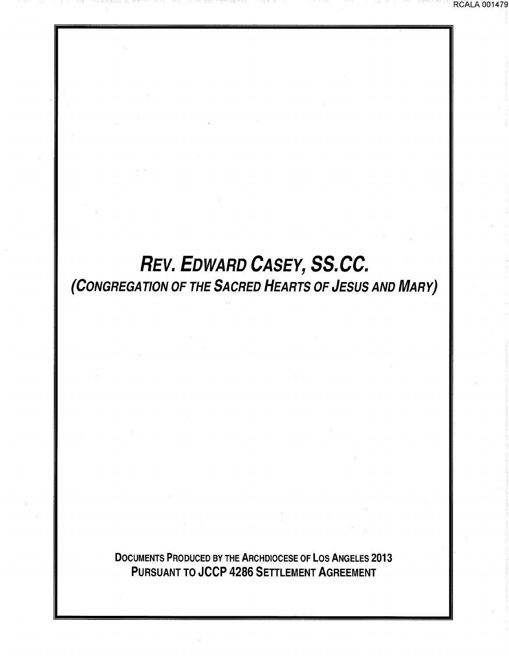# *REV. EDWARD CASEY, SS.CC.*  (CONGREGATION OF THE SACRED HEARTS OF JESUS AND MARY)

DOCUMENTS PRODUCED BY THE ARCHDIOCESE OF LOS ANGELES 2013 PURSUANT TO JCCP 4286 SETTLEMENT AGREEMENT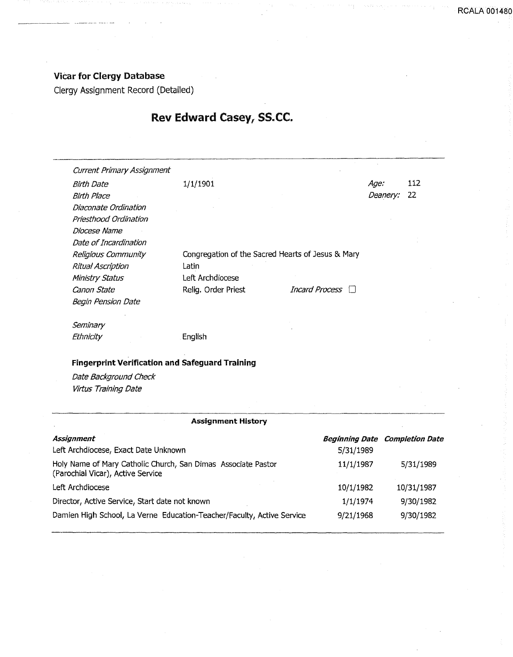# Vicar for Clergy Database

----· ·--······· .... -

Clergy Assignment Record (Detailed)

# Rev Edward Casey, SS.CC.

| 1/1/1901                                          |                                                        | Age:     | 112 |
|---------------------------------------------------|--------------------------------------------------------|----------|-----|
|                                                   |                                                        | Deanery: | 22  |
|                                                   |                                                        |          |     |
|                                                   |                                                        |          |     |
|                                                   |                                                        |          |     |
|                                                   |                                                        |          |     |
| Congregation of the Sacred Hearts of Jesus & Mary |                                                        |          |     |
| Latin                                             |                                                        |          |     |
| Left Archdiocese                                  |                                                        |          |     |
| Relig. Order Priest                               | Incard Process $\Box$                                  |          |     |
|                                                   |                                                        |          |     |
|                                                   |                                                        |          |     |
| English                                           |                                                        |          |     |
|                                                   |                                                        |          |     |
|                                                   |                                                        |          |     |
|                                                   |                                                        |          |     |
|                                                   | <b>Fingerprint Verification and Safeguard Training</b> |          |     |

## Assignment History

| Assignment<br>Left Archdiocese, Exact Date Unknown                                                 | 5/31/1989 | <b>Beginning Date Completion Date</b> |
|----------------------------------------------------------------------------------------------------|-----------|---------------------------------------|
| Holy Name of Mary Catholic Church, San Dimas Associate Pastor<br>(Parochial Vicar), Active Service | 11/1/1987 | 5/31/1989                             |
| Left Archdiocese                                                                                   | 10/1/1982 | 10/31/1987                            |
| Director, Active Service, Start date not known                                                     | 1/1/1974  | 9/30/1982                             |
| Damien High School, La Verne Education-Teacher/Faculty, Active Service                             | 9/21/1968 | 9/30/1982                             |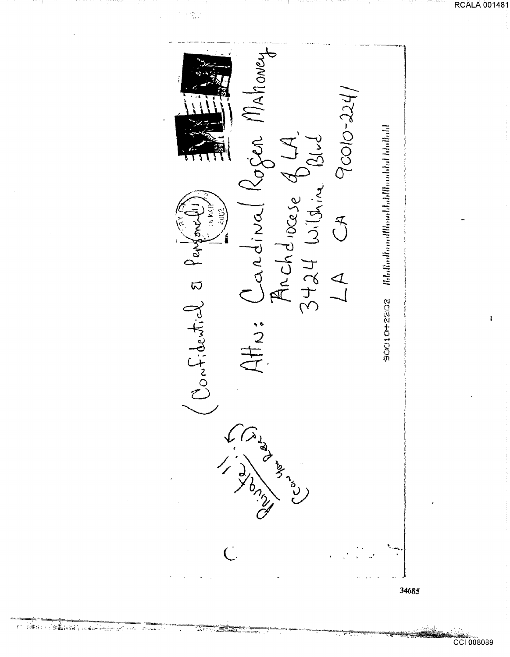

م<del>الات به به به براه</del>ند

- ಕೆನುಖ

**RCALA 001481**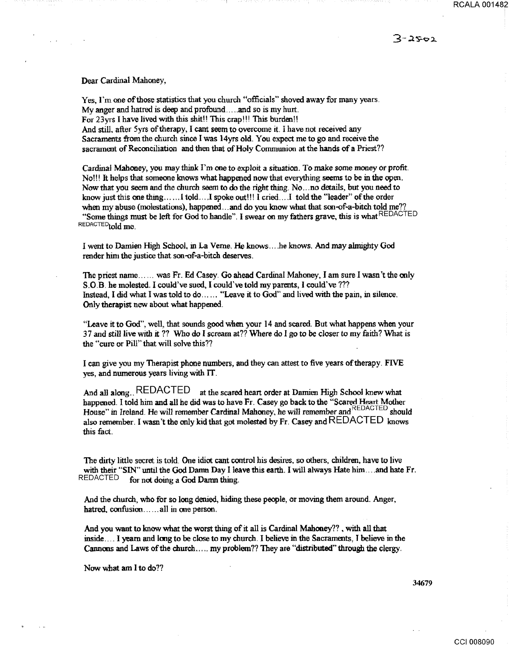RCALA 001482

 $3 - 2$ 502

#### Dear Cardinal Mahoney,

Yes, I'm one of those statistics that you church "officials" shoved away for many years. My anger and hatred is deep and profound ..... and so is my hurt. For 23yrs I have lived with this shit!! This crap!!! This burden!! And still. after 5yrs of therapy, I cant seem to overcome it. I have not received any Sacraments from the church since I was 14yrs old. You expect me to go and receive the sacrament of Reconciliation and then that of Holy Communion at the hands of a Priest??

Cardinal Mahoney, you may think I'm one to exploit a situation. To make some money or profit. No!!! h helps that someone knows what happened now that everything seems to be in the open. Now that you seem and the church seem to do the right thing. No ... no details, but you need to know just this one thing ...... I told... I spoke out!!! I cried.... I told the "leader" of the order when my abuse (molestations), happened ... and do you know what that son-of-a-bitch told me?? "Some things must be left for God to handle". I swear on my fathers grave, this is what REDACTED REDACTED<sub>told</sub> me.

I went to Damien High School, in La Verne. He knows .... he knows. And may almighty God render him the justice that son-of-a-bitch deserves.

The priest name ...... was Fr. Ed Casey. Go ahead Cardinal Mahoney, I am sure I wasn't the only S.O.B. he molested. I could've sued, I could've told my parents, I could've??? Instead, I did what I was told to do ...... "Leave it to God" and lived with the pain, in silence. Only therapist new about what happened.

"Leave it to God", well, that sounds good when your 14 and scared. But what happens when your 37 and still live with it?? Who do I scream at?? Where do I go to be closer to my faith? What is the "cure or Pill'' that will solve this??

I can give you my Therapist phone numbers, and they can attest to five years of therapy. FIVE yes, and numerous years living with IT.

And all along.. REDACTED at the scared heart order at Darnien High School knew what happened. I told him and all he did was to have Fr. Casey go back to the "Scared Heart Mother House" in Ireland. He will remember Cardinal Mahoney, he will remember and REDACTED should also remember. I wasn't the only kid that got molested by Fr. Casey and REDACTED knows this fact.

The dirty little socret is told. One idiot cant control his desires, so others, children, have to live with their "SIN" until the God Damn Day I leave this earth. I will always Hate him .... and hate Fr.<br>REDACTED for not doing a God Damn thing for not doing a God Danm thing.

And the church, who for so long denied, hiding these people, or moving them around. Anger, hatred,  $confusion \ldots$  all in one person.

And you want to know what the worst thing of it all is Cardinal Mahoney?? , with all that inside. \_\_\_ I yearn and long to be close to my church. I believe in the Sacraments, J believe in the Cannons and Laws of the church ..... my problem?? They are "distributed" through the clergy.

Now what am I to do??

34679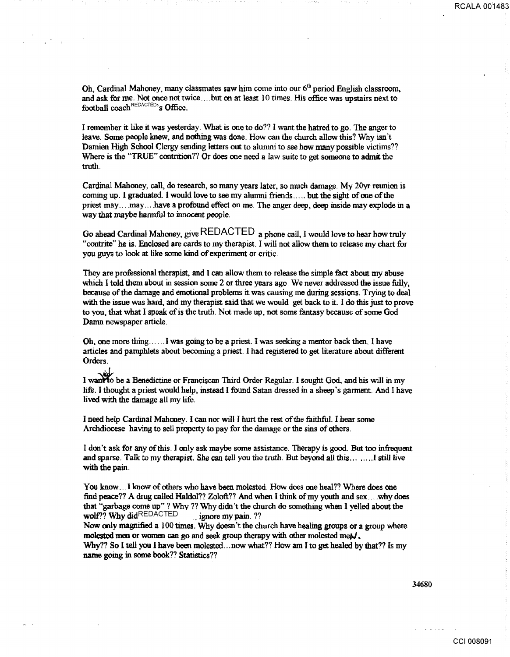Oh, Cardinal Mahoney, many classmates saw him come into our  $6<sup>th</sup>$  period English classroom, and ask for me. Not once not twice .... but on at least 1 0 times. His office was upstairs next to football  $\text{coach}^{\text{REDACTER}}$ s Office.

I remember it like it was yesterday. What is one to do?? I want the hatred to go. The anger to leave. Some people knew, and nothing was done. How can the church allow this? Why isn't Darnien High School Clergy sending letters out to alumni to see how many possible victims?? Where is the "TRUE" contrition?? Or does one need a law suite to get someone to admit the truth.

Cardinal Mahoney, call, do research, so many years later, so much damage. My 20yr reunion is coming up. I graduated. I would love to see my alumni friends ..... but the sight of one of the priest may .... may ... . have a profound effect on me. The anger deep, deep inside may explode in a way that maybe harmful to innocent people.

Go ahead Cardinal Mahoney, give REDACTED a phone call, I would love to hear how truly "contrite" he is. Enclosed are cards to my therapist. I will not allow them to release my chart for you guys to look at like some kind of experiment or critic.

They are professional therapist, and I can allow them to release the simple fact about my abuse which I told them about in session some 2 or three years ago. We never addressed the issue fully, because of the damage and emotional problems it was causing me during sessions. Trying to deal with the issue was bard, and my therapist said that we would get back to it. I do this just to prove to you, that what I speak of is the truth. Not made up, not some fantasy because of some God Damn newspaper article.

Oh, one more thing ...... 1 was going to be a priest. I was seeking a mentor back then. I have articles and pamphlets about becoming a priest. I had registered to get literature about different Orders.

I want to be a Benedictine or Franciscan Third Order Regular. I sought God, and his will in my life. I thought a priest would help, instead I found Satan dressed in a sheep's garment. And I have lived with the damage all my life.

I need help Cardinal Mahoney. I can nor will I hurt the rest of the faithful. I hear some Archdiocese having to sell property to pay for the damage or the sins of others.

I don't ask for any of this. I only ask maybe some assistance. Therapy is good. But too infrequent and sparse. Talk to my therapist. She can tell you the truth. But beyond all this ........ I still live with the pain.

You know ... I know of others who have been molested. How does one heal?? Where does one find peace?? A drug called Haldol?? Zoloft?? And when I think of my youth and sex....why does that "garbage come up"? Whv ?? Why didn't the church do something when I yelled about the wolf?? Why did REDACTED ... ignore my pain. ??

Now only magnified a 100 times. Why doesn't the church have healing groups or a group where molested men or women can go and seek group therapy with other molested met $J$ .

Why?? So I tell you I have been molested ... now what?? How am I to get healed by that?? Is my name going in some book?? Statistics??

34680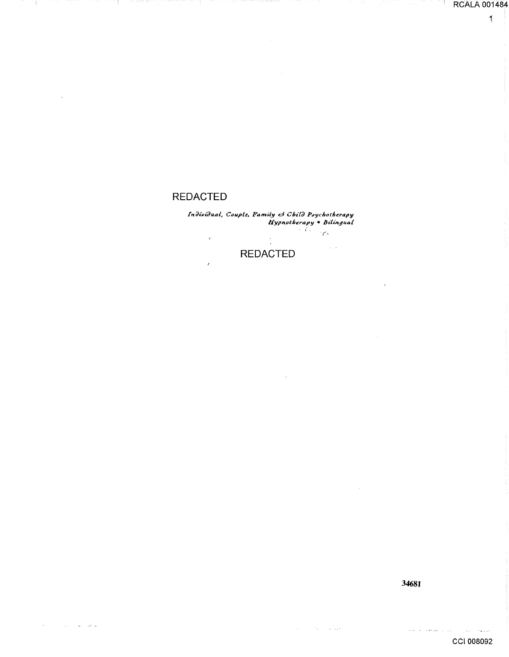# **REDACTED**

 $\overline{1}$ 

Individual, Couple, Family & Child Poychotherapy<br>Hypnotherapy • Bilingual<br>تاریخچه  $\mathcal{R}$  $\sim$   $\sim$ **REDACTED** 

 $\bar{z}$ 

34681

 $\hat{\mathbf{r}}$ 

 $\mathcal{A}=\mathcal{A}^{\mathcal{A}}$  . The set  $\mathcal{A}=\mathcal{A}^{\mathcal{A}}$ 

**RCALA 001484** 

 $\frac{1}{2}$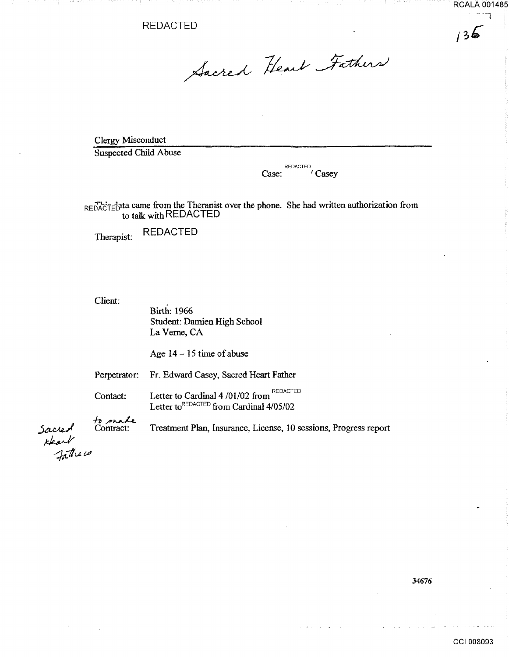REDACTED

 $136$ 

Sacred Heart Fathers

Clergy Misconduct

Suspected Child Abuse

REDACTED Case: 'Casey

REDACTED<sup>1</sup>ta came from the Theranist over the phone. She had written authorization from to talk with REDACTED

Therapist: REDACTED

Client:

Birth: 1966 Student: Darnien High School La Verne, CA

Age  $14 - 15$  time of abuse

Perpetrator: Fr. Edward Casey, Sacred Heart Father

Contact: Letter to Cardinal 4/01/02 from REDACTED Letter to  $REDACTER$  from Cardinal  $4/05/02$ 

 $t_{\rm 2}$  made Contract:

Treatment Plan, Insurance, License, 10 sessions, Progress report

34676

 $\sim$   $\sim$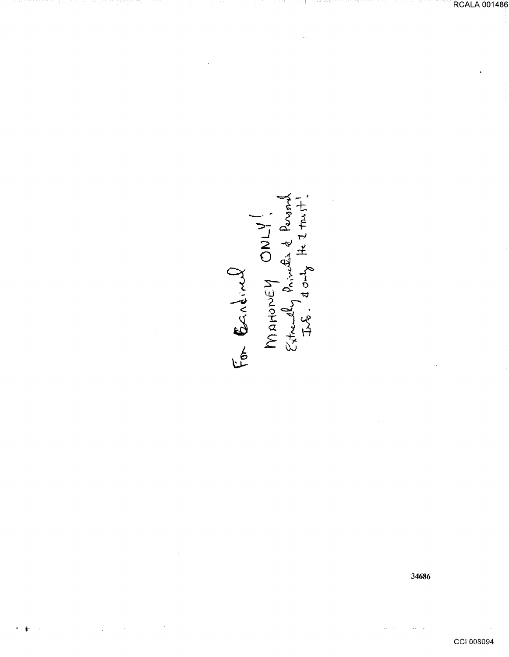For Eardinal ONLY!

34686

RCALA 001486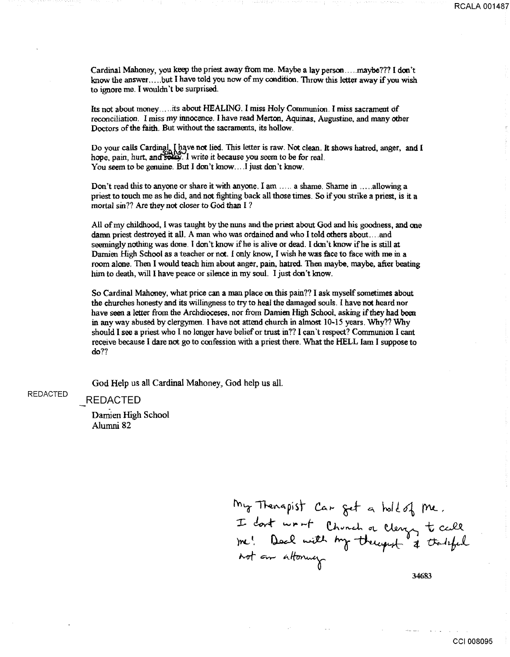Cardinal Mahoney, you keep the priest away from me. Maybe a lay person ..... maybe??? I don't know the answer ..... but I have told you now of my condition. Throw this letter away if you wish to ignore me. I wouldn't be surprised.

Its not about money ... , its about HEALING. I miss Holy Communion. I miss sacrament of reconciliation. I miss my innocence. I have read Merton, Aquinas, Augustine, and many other Doctors of the faith. But without the sacraments. its hollow.

Do your calls Carding! I have not lied. This letter is raw. Not clean. It shows hatred, anger, and I hope, pain, hurt, and solby. I write it because you seem to be for real. You seem to be genuine. But I don't know....I just don't know.

Don't read this to anyone or share it with anyone. I am ..... a shame. Shame in , .... allowing a priest to touch me as he did, and not fighting back all those times. So if you strike a priest, is it a mortal sin?? Are they not closer to God than I ?

All of my childhood, 1 was taught by the nuns and the priest about God and his goodness, and one damn priest destroyed it all. A man who was ordained and who I told others about .... and seemingly nothing was done. I don't know if he is alive or dead. I don't know if he is still at Damien High School as a teacher or not. 1 only know, I wish he was face to face with me in a room alone. Then I would teach him about anger, pain, hatred. Then maybe. maybe, after beating him to death, will I have peace or silence in my soul. I just don't know.

So Cardinal Mahoney, what price can a man place on this pain?? I ask myself sometimes about the churches honesty and its willingness to try to heal the damaged souls. I have not heard nor have seen a letter from the Archdioceses. nor from Damien High School, asking if they had been in any way abused by clergymen. I have not attend church in almost 10-15 years. Why?? Why should I see a priest who I no longer have belief or trust in?? I can't respect? Communion I cant receive because I dare not go to confession with a priest there. What the HELL Iam I suppose to do??

God Help us all Cardinal Mahoney, God help us all.

#### REDACTED

REDACTED

Damien High School Alumni 82

My Thenapist Car get a hold of me. I dont wrnt Chunch a Clergy te call<br>Jose! Doal with My therefort & theriful<br>not an altoning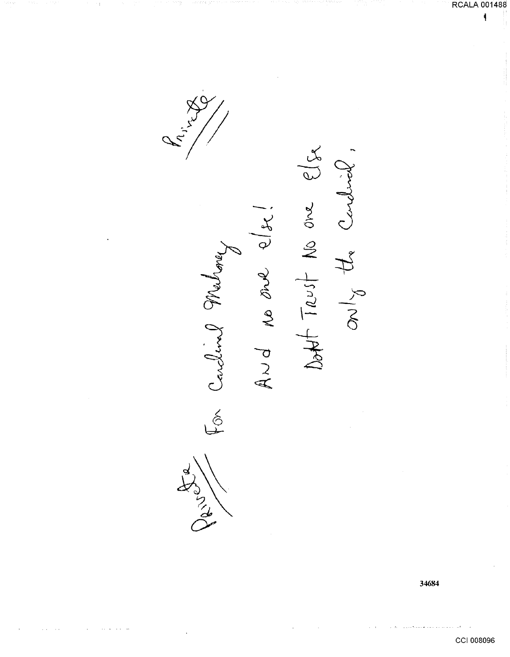For Carcline Ma

かっと

 $\sim$ 

elx No one  $\chi$ Le  $+ 7251$ Me one  $\overline{\delta}$  $A \cup d$ 

34684

**RCALA 001488**  $\hat{\P}$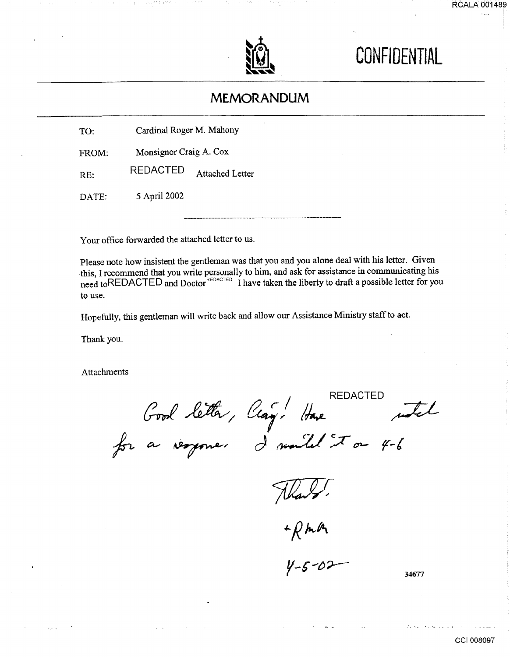



# **CONFIDENTIAL**

# **MEMORANDUM**

| TO: | Cardinal Roger M. Mahony |
|-----|--------------------------|
|-----|--------------------------|

FROM: Monsignor Craig A. Cox

RE: REDACTED Attached Letter

DATE: *5* April2002

Your office forwarded the attached letter to us.

Please note how insistent the gentleman was that you and you alone deal with his letter. Given . this, I recommend that you write personally to him, and ask for assistance in communicating his need toREDACTED and Doctor<sup>REDACTED</sup> I have taken the liberty to draft a possible letter for you to use.

Hopefully, this gentleman will write back and allow our Assistance Ministry staff to act.

Thank you.

Attachments

 $\Omega$   $\epsilon$  /  $\mu$  REDACTED Clay. Have noted  $J$  would  $\mathcal{F}$  or 4-6

Flank.<br>+ RMA<br>4-5-02

34677

the successive constant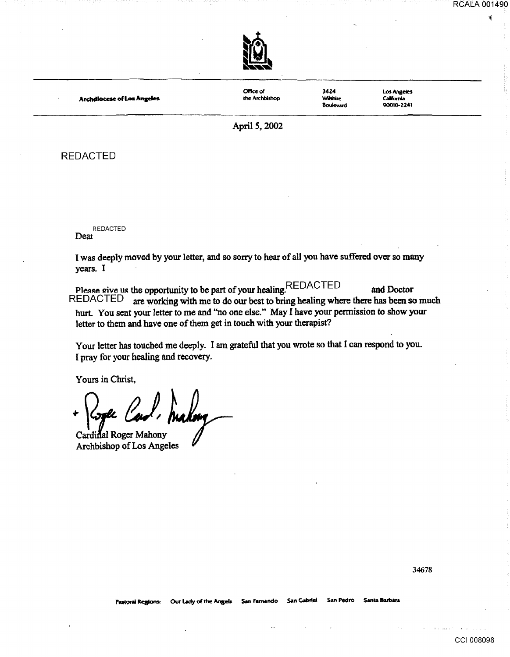~



**Archdiocese of Los Angeles** 

Office of the Archbishop 34Z4 'MI5hlre **Boulevard**  Los Angeles **California** 90010-2241

April *5,* 2002

## REDACTED

REDACTED Deat

I was deeply moved by your letter, and so sony to hear of all you have suffered over so many years. I

Please give us the opportunity to be part of your healing.REDACTED and Doctor<br>REDACTED are working with me to do our best to bring healing where there has been so are working with me to do our best to bring healing where there has been so much hurt. You sent your letter to me and ''no one else.'' May I have your permission to show your letter to them and have one of them get in touch with your therapist?

Your letter has touched me deeply. I am grateful that you wrote so that I can respond to you. I pray for your healing and recovery.

Yours in Christ,

<sup>~</sup>0-b &),

Cardinal Roger Mahony Archbishop of Los Angeles

CCI 008098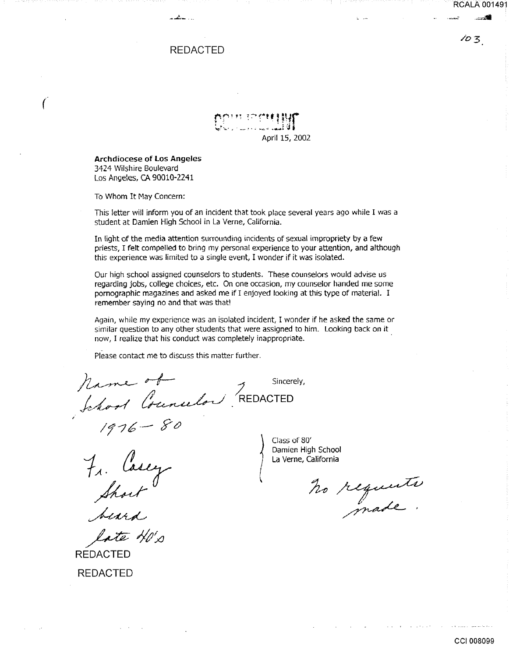RCALA 001491

 $103$ 

## REDACTED

.• ...!..... ·-·

 $\mathfrak{p}_{\mathbb{C}}$  is the straight  $\mathfrak{p}_{\mathbb{C}}$ t.\_,:~ ... -· .. ' ~~ . *. .:..* ~.~ <sup>t</sup> April 15, 2002

Archdiocese of Los Angeles 3424 Wilshire Boulevard Los Angeles, CA 90010-2241

To Whom It May Concern:

 $\big($ 

This letter will inform you of an incident that took place several years ago while I was a student at Damien High School in La Verne, California.

In light of the media attention surrounding incidents of sexual impropriety by a few priests, I felt compelled to bring my personal experience to your attention, and although this experience was limited to a single event, I wonder if it was isolated.

Our high school assigned counselors to students. These counselors would advise us regarding jobs, college choices, etc. On one occasion, my counselor handed me some pornographic magazines and asked me if I enjoyed looking at this type of material. I remember saying no and that was that!

Again, while my experience was an isolated incident, I wonder if he asked the same or similar question to any other students that were assigned to him. Looking back on it now, I realize that his conduct was completely inappropriate.

Please contact me to discuss this matter further.

 $hame$  of Sincerely, hame of Sincere<br>Jakool Councilor REDACTED

*If/£--* YZJ

*1A·*   $f_{q}$   $f_{q}$   $f_{q}$   $f_{q}$   $f_{q}$   $f_{q}$   $f_{q}$   $f_{q}$   $f_{q}$   $f_{q}$   $f_{q}$   $f_{q}$   $f_{q}$   $f_{q}$   $f_{q}$   $f_{q}$   $f_{q}$   $f_{q}$   $f_{q}$   $f_{q}$   $f_{q}$   $f_{q}$   $f_{q}$   $f_{q}$   $f_{q}$   $f_{q}$   $f_{q}$   $f_{q}$   $f_{q}$   $f_{q}$   $f_{q}$   $f_{q$ 

 $cte$  HO's

REDACTED REDACTED

\ Class of 80'

Short" ho requeste<br>beard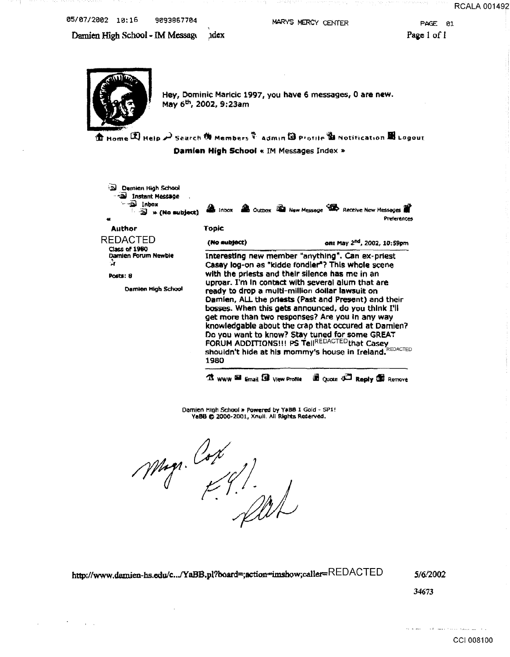05/07/2002 10:16 9093867704

MARYS MERCY CENTER

PAGE 01 Page 1 of 1

Damien High School - IM Message xdex



Hey, Dominic Maricic 1997, you have 6 messages, 0 are new. May 6<sup>th</sup>, 2002, 9:23am

 $\mathbf{\hat{\mathfrak{m}}}$  Home  $\mathbf{\hat{Z}}$  Heip  $\boldsymbol{\mu}$  Search  $\mathbf{\hat{\mathfrak{m}}}$  Members  $\mathbf{\hat{Y}}$  admin  $\mathbf{\hat{W}}$  Profile  $\mathbf{\hat{W}}$  Notification  $\mathbf{\hat{W}}$  Logout Damien High School « IM Messages Index »

Demien High School a Instant Message  $\equiv 2$  inbox **Als Indox De Outbox Red New Message TR** Receive New Messages  $\overrightarrow{2}$  \* (No subject) Preferènces **Author Topic REDACTED** on: May 2<sup>nd</sup>, 2002, 10:59pm (No subject) Class of 1980 Damien Forum Newbie Interesting new member "anything". Can ex-priest 4 Casay log-on as "kidde fondler"? This whole scene with the priests and their silence has me in an Posts: 8 uproar. I'm in contact with several alum that are Damien High School ready to drop a multi-million dollar lawsuit on Damien, ALL the priests (Past and Present) and their bosses. When this gets announced, do you think I'll get more than two responses? Are you in any way knowledgable about the crap that occured at Damien? Do you want to know? Stay tuned for some GREAT FORUM ADDITIONS!!! PS TellREDACTED that Casey<br>shouldn't hide at his mommy's house in Ireland. REDACTED 1980 **13** WWW **Ed Email SB** View Profile **ED** Quote 3<sup>23</sup> Reply 15 Remove

Damien High School » Powered by Y#BB 1 Gold - SP1! YaBB @ 2000-2001, Xnull. All Rights Reserved.

Mag. Cox

http://www.damien-hs.edu/c.../YaBB.pl?board=;action=imshow;caller=REDACTED

5/6/2002

34673

**RCALA 001492**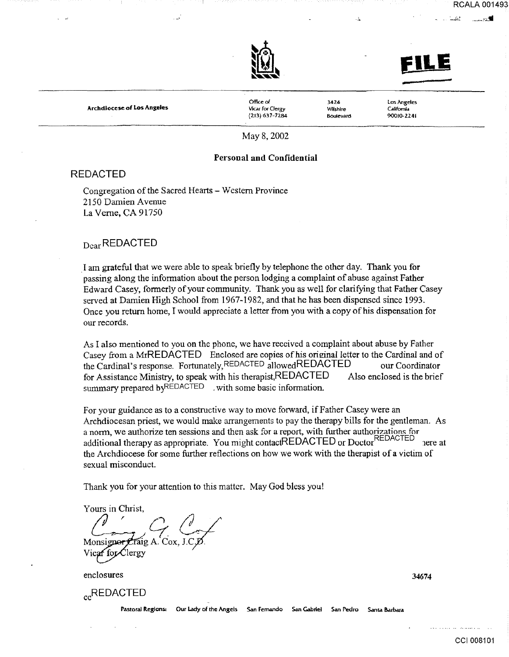



.. :., ~ -~--·:.:.11

RCALA 001493

Archdiocese of Los Angeles

Office of Vicar for Oergy (2J3) 637-7284

3424 **Wilshire** Boulevard

Los Angeles California 90010-2241

May8,2002

### Personal and Confidential

### REDACTED

Congregation of the Sacred Hearts- Western Province 2150 Damien Avenue La Verne, CA 91750

## Dear REDACTED

. I am grateful that we were able to speak briefly by telephone the other day. Thank you for passing along the information about the person lodging a complaint of abuse against Father Edward Casey, formerly of your community. Thank you as well for clarifying that Father Casey served at Damien High School from 1967-1982, and that he has been dispensed since 1993. Once you return home, I would appreciate a letter from you with a copy of his dispensation for our records.

As I also mentioned to you on the phone, we have received a complaint about abuse by Father Casey from a MrREDACTED Enclosed are copies of his original letter to the Cardinal and of the Cardinal's response. Fortunately, REDACTED allowedREDACTED our Coordinator for Assistance Ministry, to speak with his therapist,REDACTED Also enclosed is the brief summary prepared byREDACTED . with some basic information.

For your guidance as to a constructive way to move forward, if Father Casey were an Archdiocesan priest, we would make arrangements to pay the therapy bills for the gentleman. As a norm, we authorize ten sessions and then ask for a report, with further authorizations for additional therapy as appropriate. You might contactREDACTED or DoctorREDACTED 1ere at the Archdiocese for some further reflections on how we work with the therapist of a victim of sexual misconduct.

Thank you for your attention to this matter. May God bless yout

Yours in Christ, ours in Christ,<br> $C_{\bullet}$ ,  $C_{\bullet}$ ,  $C_{\bullet}$ Monsigner  $\mathcal{L}$ raig A. Cox. Vicar for Clergy

enclosures

<sub>cc</sub>REDACTED

Pastoral Regions: Our Lady of the Angels San Fernando San Gabriel San Pedro Santa Barbara

34674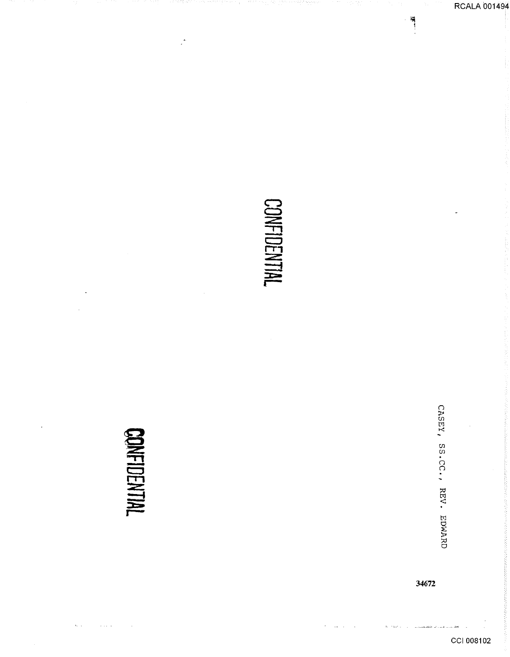